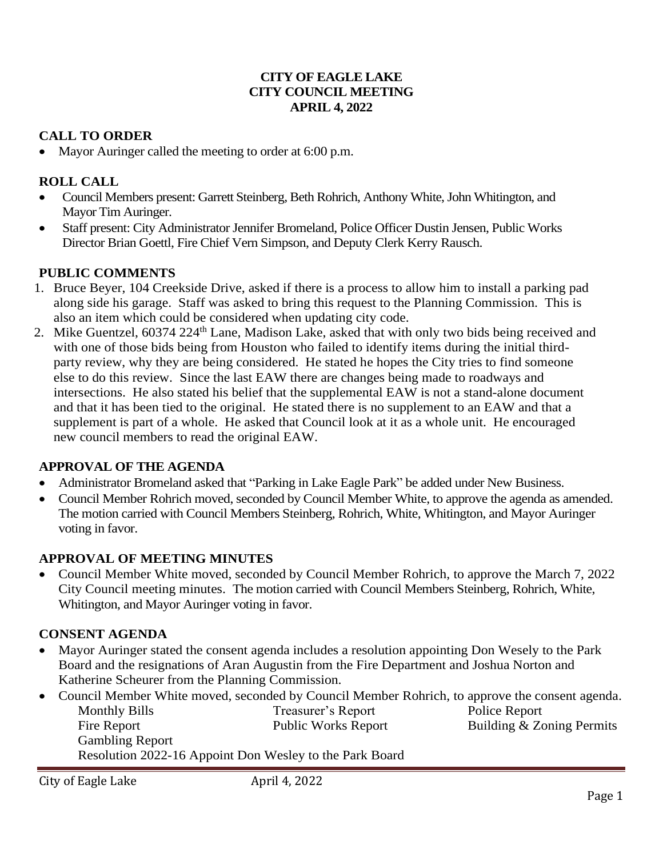#### **CITY OF EAGLE LAKE CITY COUNCIL MEETING APRIL 4, 2022**

#### **CALL TO ORDER**

• Mayor Auringer called the meeting to order at 6:00 p.m.

#### **ROLL CALL**

- Council Members present: Garrett Steinberg, Beth Rohrich, Anthony White, John Whitington, and Mayor Tim Auringer.
- Staff present: City Administrator Jennifer Bromeland, Police Officer Dustin Jensen, Public Works Director Brian Goettl, Fire Chief Vern Simpson, and Deputy Clerk Kerry Rausch.

#### **PUBLIC COMMENTS**

- 1. Bruce Beyer, 104 Creekside Drive, asked if there is a process to allow him to install a parking pad along side his garage. Staff was asked to bring this request to the Planning Commission. This is also an item which could be considered when updating city code.
- 2. Mike Guentzel, 60374 224<sup>th</sup> Lane, Madison Lake, asked that with only two bids being received and with one of those bids being from Houston who failed to identify items during the initial thirdparty review, why they are being considered. He stated he hopes the City tries to find someone else to do this review. Since the last EAW there are changes being made to roadways and intersections. He also stated his belief that the supplemental EAW is not a stand-alone document and that it has been tied to the original. He stated there is no supplement to an EAW and that a supplement is part of a whole. He asked that Council look at it as a whole unit. He encouraged new council members to read the original EAW.

#### **APPROVAL OF THE AGENDA**

- Administrator Bromeland asked that "Parking in Lake Eagle Park" be added under New Business.
- Council Member Rohrich moved, seconded by Council Member White, to approve the agenda as amended. The motion carried with Council Members Steinberg, Rohrich, White, Whitington, and Mayor Auringer voting in favor.

#### **APPROVAL OF MEETING MINUTES**

• Council Member White moved, seconded by Council Member Rohrich, to approve the March 7, 2022 City Council meeting minutes. The motion carried with Council Members Steinberg, Rohrich, White, Whitington, and Mayor Auringer voting in favor.

## **CONSENT AGENDA**

- Mayor Auringer stated the consent agenda includes a resolution appointing Don Wesely to the Park Board and the resignations of Aran Augustin from the Fire Department and Joshua Norton and Katherine Scheurer from the Planning Commission.
- Council Member White moved, seconded by Council Member Rohrich, to approve the consent agenda. Monthly Bills Treasurer's Report Police Report Fire Report Public Works Report Building & Zoning Permits Gambling Report Resolution 2022-16 Appoint Don Wesley to the Park Board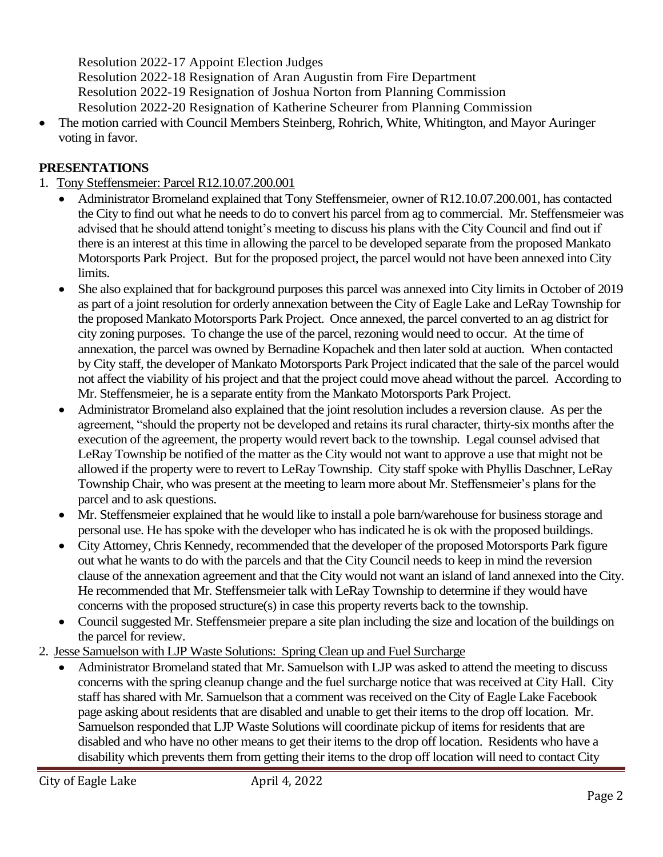Resolution 2022-17 Appoint Election Judges

Resolution 2022-18 Resignation of Aran Augustin from Fire Department

Resolution 2022-19 Resignation of Joshua Norton from Planning Commission

Resolution 2022-20 Resignation of Katherine Scheurer from Planning Commission

• The motion carried with Council Members Steinberg, Rohrich, White, Whitington, and Mayor Auringer voting in favor.

### **PRESENTATIONS**

### 1. Tony Steffensmeier: Parcel R12.10.07.200.001

- Administrator Bromeland explained that Tony Steffensmeier, owner of R12.10.07.200.001, has contacted the City to find out what he needs to do to convert his parcel from ag to commercial. Mr. Steffensmeier was advised that he should attend tonight's meeting to discuss his plans with the City Council and find out if there is an interest at this time in allowing the parcel to be developed separate from the proposed Mankato Motorsports Park Project. But for the proposed project, the parcel would not have been annexed into City limits.
- She also explained that for background purposes this parcel was annexed into City limits in October of 2019 as part of a joint resolution for orderly annexation between the City of Eagle Lake and LeRay Township for the proposed Mankato Motorsports Park Project. Once annexed, the parcel converted to an ag district for city zoning purposes. To change the use of the parcel, rezoning would need to occur. At the time of annexation, the parcel was owned by Bernadine Kopachek and then later sold at auction. When contacted by City staff, the developer of Mankato Motorsports Park Project indicated that the sale of the parcel would not affect the viability of his project and that the project could move ahead without the parcel. According to Mr. Steffensmeier, he is a separate entity from the Mankato Motorsports Park Project.
- Administrator Bromeland also explained that the joint resolution includes a reversion clause. As per the agreement, "should the property not be developed and retains its rural character, thirty-six months after the execution of the agreement, the property would revert back to the township. Legal counsel advised that LeRay Township be notified of the matter as the City would not want to approve a use that might not be allowed if the property were to revert to LeRay Township. City staff spoke with Phyllis Daschner, LeRay Township Chair, who was present at the meeting to learn more about Mr. Steffensmeier's plans for the parcel and to ask questions.
- Mr. Steffensmeier explained that he would like to install a pole barn/warehouse for business storage and personal use. He has spoke with the developer who has indicated he is ok with the proposed buildings.
- City Attorney, Chris Kennedy, recommended that the developer of the proposed Motorsports Park figure out what he wants to do with the parcels and that the City Council needs to keep in mind the reversion clause of the annexation agreement and that the City would not want an island of land annexed into the City. He recommended that Mr. Steffensmeier talk with LeRay Township to determine if they would have concerns with the proposed structure(s) in case this property reverts back to the township.
- Council suggested Mr. Steffensmeier prepare a site plan including the size and location of the buildings on the parcel for review.
- 2. Jesse Samuelson with LJP Waste Solutions: Spring Clean up and Fuel Surcharge
	- Administrator Bromeland stated that Mr. Samuelson with LJP was asked to attend the meeting to discuss concerns with the spring cleanup change and the fuel surcharge notice that was received at City Hall. City staff has shared with Mr. Samuelson that a comment was received on the City of Eagle Lake Facebook page asking about residents that are disabled and unable to get their items to the drop off location. Mr. Samuelson responded that LJP Waste Solutions will coordinate pickup of items for residents that are disabled and who have no other means to get their items to the drop off location. Residents who have a disability which prevents them from getting their items to the drop off location will need to contact City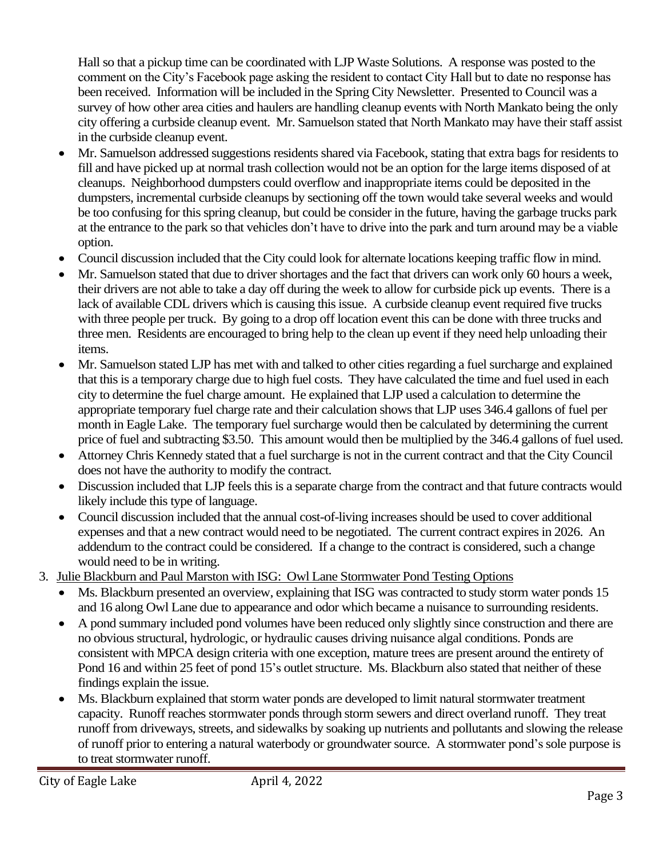Hall so that a pickup time can be coordinated with LJP Waste Solutions. A response was posted to the comment on the City's Facebook page asking the resident to contact City Hall but to date no response has been received. Information will be included in the Spring City Newsletter. Presented to Council was a survey of how other area cities and haulers are handling cleanup events with North Mankato being the only city offering a curbside cleanup event. Mr. Samuelson stated that North Mankato may have their staff assist in the curbside cleanup event.

- Mr. Samuelson addressed suggestions residents shared via Facebook, stating that extra bags for residents to fill and have picked up at normal trash collection would not be an option for the large items disposed of at cleanups. Neighborhood dumpsters could overflow and inappropriate items could be deposited in the dumpsters, incremental curbside cleanups by sectioning off the town would take several weeks and would be too confusing for this spring cleanup, but could be consider in the future, having the garbage trucks park at the entrance to the park so that vehicles don't have to drive into the park and turn around may be a viable option.
- Council discussion included that the City could look for alternate locations keeping traffic flow in mind.
- Mr. Samuelson stated that due to driver shortages and the fact that drivers can work only 60 hours a week, their drivers are not able to take a day off during the week to allow for curbside pick up events. There is a lack of available CDL drivers which is causing this issue. A curbside cleanup event required five trucks with three people per truck. By going to a drop off location event this can be done with three trucks and three men. Residents are encouraged to bring help to the clean up event if they need help unloading their items.
- Mr. Samuelson stated LJP has met with and talked to other cities regarding a fuel surcharge and explained that this is a temporary charge due to high fuel costs. They have calculated the time and fuel used in each city to determine the fuel charge amount. He explained that LJP used a calculation to determine the appropriate temporary fuel charge rate and their calculation shows that LJP uses 346.4 gallons of fuel per month in Eagle Lake. The temporary fuel surcharge would then be calculated by determining the current price of fuel and subtracting \$3.50. This amount would then be multiplied by the 346.4 gallons of fuel used.
- Attorney Chris Kennedy stated that a fuel surcharge is not in the current contract and that the City Council does not have the authority to modify the contract.
- Discussion included that LJP feels this is a separate charge from the contract and that future contracts would likely include this type of language.
- Council discussion included that the annual cost-of-living increases should be used to cover additional expenses and that a new contract would need to be negotiated. The current contract expires in 2026. An addendum to the contract could be considered. If a change to the contract is considered, such a change would need to be in writing.
- 3. Julie Blackburn and Paul Marston with ISG: Owl Lane Stormwater Pond Testing Options
	- Ms. Blackburn presented an overview, explaining that ISG was contracted to study storm water ponds 15 and 16 along Owl Lane due to appearance and odor which became a nuisance to surrounding residents.
	- A pond summary included pond volumes have been reduced only slightly since construction and there are no obvious structural, hydrologic, or hydraulic causes driving nuisance algal conditions. Ponds are consistent with MPCA design criteria with one exception, mature trees are present around the entirety of Pond 16 and within 25 feet of pond 15's outlet structure. Ms. Blackburn also stated that neither of these findings explain the issue.
	- Ms. Blackburn explained that storm water ponds are developed to limit natural stormwater treatment capacity. Runoff reaches stormwater ponds through storm sewers and direct overland runoff. They treat runoff from driveways, streets, and sidewalks by soaking up nutrients and pollutants and slowing the release of runoff prior to entering a natural waterbody or groundwater source. A stormwater pond's sole purpose is to treat stormwater runoff.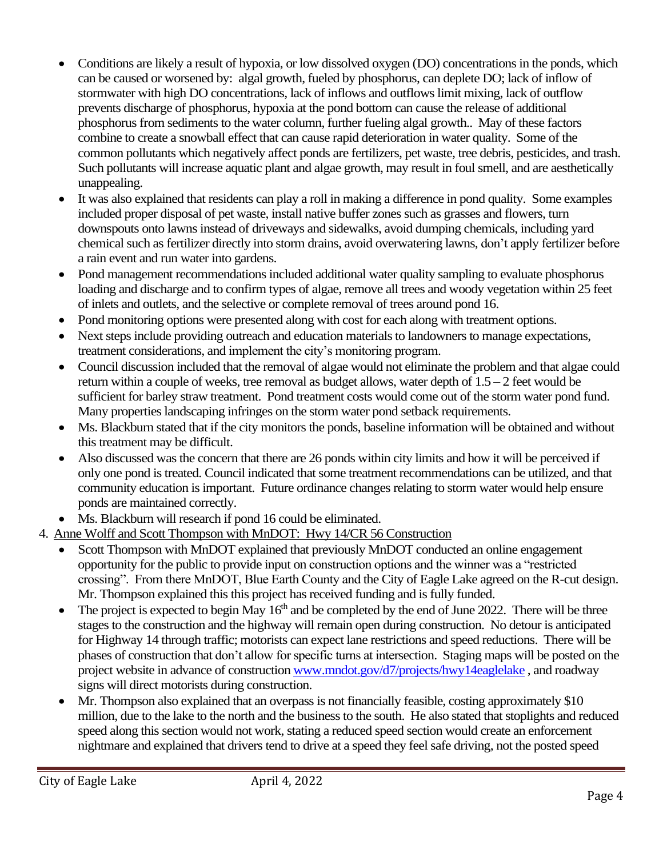- Conditions are likely a result of hypoxia, or low dissolved oxygen (DO) concentrations in the ponds, which can be caused or worsened by: algal growth, fueled by phosphorus, can deplete DO; lack of inflow of stormwater with high DO concentrations, lack of inflows and outflows limit mixing, lack of outflow prevents discharge of phosphorus, hypoxia at the pond bottom can cause the release of additional phosphorus from sediments to the water column, further fueling algal growth.. May of these factors combine to create a snowball effect that can cause rapid deterioration in water quality. Some of the common pollutants which negatively affect ponds are fertilizers, pet waste, tree debris, pesticides, and trash. Such pollutants will increase aquatic plant and algae growth, may result in foul smell, and are aesthetically unappealing.
- It was also explained that residents can play a roll in making a difference in pond quality. Some examples included proper disposal of pet waste, install native buffer zones such as grasses and flowers, turn downspouts onto lawns instead of driveways and sidewalks, avoid dumping chemicals, including yard chemical such as fertilizer directly into storm drains, avoid overwatering lawns, don't apply fertilizer before a rain event and run water into gardens.
- Pond management recommendations included additional water quality sampling to evaluate phosphorus loading and discharge and to confirm types of algae, remove all trees and woody vegetation within 25 feet of inlets and outlets, and the selective or complete removal of trees around pond 16.
- Pond monitoring options were presented along with cost for each along with treatment options.
- Next steps include providing outreach and education materials to landowners to manage expectations, treatment considerations, and implement the city's monitoring program.
- Council discussion included that the removal of algae would not eliminate the problem and that algae could return within a couple of weeks, tree removal as budget allows, water depth of 1.5 – 2 feet would be sufficient for barley straw treatment. Pond treatment costs would come out of the storm water pond fund. Many properties landscaping infringes on the storm water pond setback requirements.
- Ms. Blackburn stated that if the city monitors the ponds, baseline information will be obtained and without this treatment may be difficult.
- Also discussed was the concern that there are 26 ponds within city limits and how it will be perceived if only one pond is treated. Council indicated that some treatment recommendations can be utilized, and that community education is important. Future ordinance changes relating to storm water would help ensure ponds are maintained correctly.
- Ms. Blackburn will research if pond 16 could be eliminated.
- 4. Anne Wolff and Scott Thompson with MnDOT: Hwy 14/CR 56 Construction
	- Scott Thompson with MnDOT explained that previously MnDOT conducted an online engagement opportunity for the public to provide input on construction options and the winner was a "restricted crossing". From there MnDOT, Blue Earth County and the City of Eagle Lake agreed on the R-cut design. Mr. Thompson explained this this project has received funding and is fully funded.
	- The project is expected to begin May  $16<sup>th</sup>$  and be completed by the end of June 2022. There will be three stages to the construction and the highway will remain open during construction. No detour is anticipated for Highway 14 through traffic; motorists can expect lane restrictions and speed reductions. There will be phases of construction that don't allow for specific turns at intersection. Staging maps will be posted on the project website in advance of construction [www.mndot.gov/d7/projects/hwy14eaglelake](http://www.mndot.gov/d7/projects/hwy14eaglelake) , and roadway signs will direct motorists during construction.
	- Mr. Thompson also explained that an overpass is not financially feasible, costing approximately \$10 million, due to the lake to the north and the business to the south. He also stated that stoplights and reduced speed along this section would not work, stating a reduced speed section would create an enforcement nightmare and explained that drivers tend to drive at a speed they feel safe driving, not the posted speed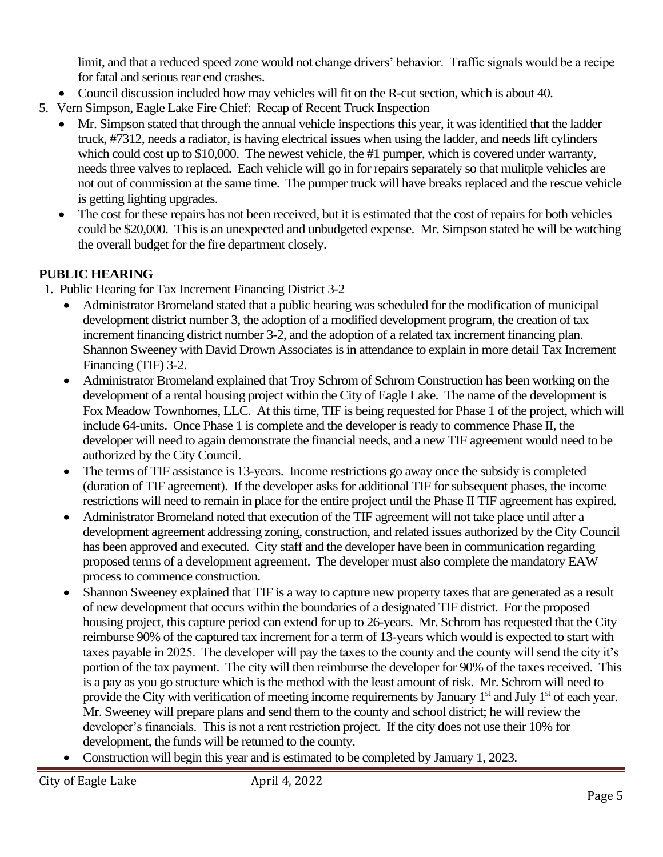limit, and that a reduced speed zone would not change drivers' behavior. Traffic signals would be a recipe for fatal and serious rear end crashes.

- Council discussion included how may vehicles will fit on the R-cut section, which is about 40.
- 5. Vern Simpson, Eagle Lake Fire Chief: Recap of Recent Truck Inspection
	- Mr. Simpson stated that through the annual vehicle inspections this year, it was identified that the ladder truck, #7312, needs a radiator, is having electrical issues when using the ladder, and needs lift cylinders which could cost up to \$10,000. The newest vehicle, the #1 pumper, which is covered under warranty, needs three valves to replaced. Each vehicle will go in for repairs separately so that mulitple vehicles are not out of commission at the same time. The pumper truck will have breaks replaced and the rescue vehicle is getting lighting upgrades.
	- The cost for these repairs has not been received, but it is estimated that the cost of repairs for both vehicles could be \$20,000. This is an unexpected and unbudgeted expense. Mr. Simpson stated he will be watching the overall budget for the fire department closely.

## **PUBLIC HEARING**

- 1. Public Hearing for Tax Increment Financing District 3-2
	- Administrator Bromeland stated that a public hearing was scheduled for the modification of municipal development district number 3, the adoption of a modified development program, the creation of tax increment financing district number 3-2, and the adoption of a related tax increment financing plan. Shannon Sweeney with David Drown Associates is in attendance to explain in more detail Tax Increment Financing (TIF) 3-2.
	- Administrator Bromeland explained that Troy Schrom of Schrom Construction has been working on the development of a rental housing project within the City of Eagle Lake. The name of the development is Fox Meadow Townhomes, LLC. At this time, TIF is being requested for Phase 1 of the project, which will include 64-units. Once Phase 1 is complete and the developer is ready to commence Phase II, the developer will need to again demonstrate the financial needs, and a new TIF agreement would need to be authorized by the City Council.
	- The terms of TIF assistance is 13-years. Income restrictions go away once the subsidy is completed (duration of TIF agreement). If the developer asks for additional TIF for subsequent phases, the income restrictions will need to remain in place for the entire project until the Phase II TIF agreement has expired.
	- Administrator Bromeland noted that execution of the TIF agreement will not take place until after a development agreement addressing zoning, construction, and related issues authorized by the City Council has been approved and executed. City staff and the developer have been in communication regarding proposed terms of a development agreement. The developer must also complete the mandatory EAW process to commence construction.
	- Shannon Sweeney explained that TIF is a way to capture new property taxes that are generated as a result of new development that occurs within the boundaries of a designated TIF district. For the proposed housing project, this capture period can extend for up to 26-years. Mr. Schrom has requested that the City reimburse 90% of the captured tax increment for a term of 13-years which would is expected to start with taxes payable in 2025. The developer will pay the taxes to the county and the county will send the city it's portion of the tax payment. The city will then reimburse the developer for 90% of the taxes received. This is a pay as you go structure which is the method with the least amount of risk. Mr. Schrom will need to provide the City with verification of meeting income requirements by January 1<sup>st</sup> and July 1<sup>st</sup> of each year. Mr. Sweeney will prepare plans and send them to the county and school district; he will review the developer's financials. This is not a rent restriction project. If the city does not use their 10% for development, the funds will be returned to the county.
	- Construction will begin this year and is estimated to be completed by January 1, 2023.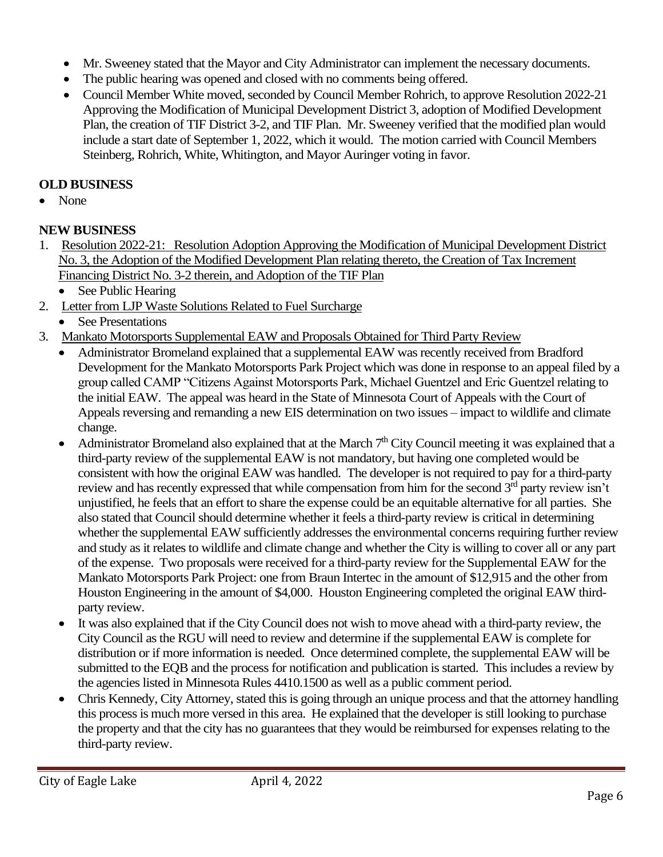- Mr. Sweeney stated that the Mayor and City Administrator can implement the necessary documents.
- The public hearing was opened and closed with no comments being offered.
- Council Member White moved, seconded by Council Member Rohrich, to approve Resolution 2022-21 Approving the Modification of Municipal Development District 3, adoption of Modified Development Plan, the creation of TIF District 3-2, and TIF Plan. Mr. Sweeney verified that the modified plan would include a start date of September 1, 2022, which it would. The motion carried with Council Members Steinberg, Rohrich, White, Whitington, and Mayor Auringer voting in favor.

# **OLD BUSINESS**

• None

# **NEW BUSINESS**

- 1. Resolution 2022-21: Resolution Adoption Approving the Modification of Municipal Development District No. 3, the Adoption of the Modified Development Plan relating thereto, the Creation of Tax Increment Financing District No. 3-2 therein, and Adoption of the TIF Plan
	- See Public Hearing
- 2. Letter from LJP Waste Solutions Related to Fuel Surcharge
	- **See Presentations**
- 3. Mankato Motorsports Supplemental EAW and Proposals Obtained for Third Party Review
	- Administrator Bromeland explained that a supplemental EAW was recently received from Bradford Development for the Mankato Motorsports Park Project which was done in response to an appeal filed by a group called CAMP "Citizens Against Motorsports Park, Michael Guentzel and Eric Guentzel relating to the initial EAW. The appeal was heard in the State of Minnesota Court of Appeals with the Court of Appeals reversing and remanding a new EIS determination on two issues – impact to wildlife and climate change.
	- Administrator Bromeland also explained that at the March  $7<sup>th</sup>$  City Council meeting it was explained that a third-party review of the supplemental EAW is not mandatory, but having one completed would be consistent with how the original EAW was handled. The developer is not required to pay for a third-party review and has recently expressed that while compensation from him for the second 3<sup>rd</sup> party review isn't unjustified, he feels that an effort to share the expense could be an equitable alternative for all parties. She also stated that Council should determine whether it feels a third-party review is critical in determining whether the supplemental EAW sufficiently addresses the environmental concerns requiring further review and study as it relates to wildlife and climate change and whether the City is willing to cover all or any part of the expense. Two proposals were received for a third-party review for the Supplemental EAW for the Mankato Motorsports Park Project: one from Braun Intertec in the amount of \$12,915 and the other from Houston Engineering in the amount of \$4,000. Houston Engineering completed the original EAW thirdparty review.
	- It was also explained that if the City Council does not wish to move ahead with a third-party review, the City Council as the RGU will need to review and determine if the supplemental EAW is complete for distribution or if more information is needed. Once determined complete, the supplemental EAW will be submitted to the EQB and the process for notification and publication is started. This includes a review by the agencies listed in Minnesota Rules 4410.1500 as well as a public comment period.
	- Chris Kennedy, City Attorney, stated this is going through an unique process and that the attorney handling this process is much more versed in this area. He explained that the developer is still looking to purchase the property and that the city has no guarantees that they would be reimbursed for expenses relating to the third-party review.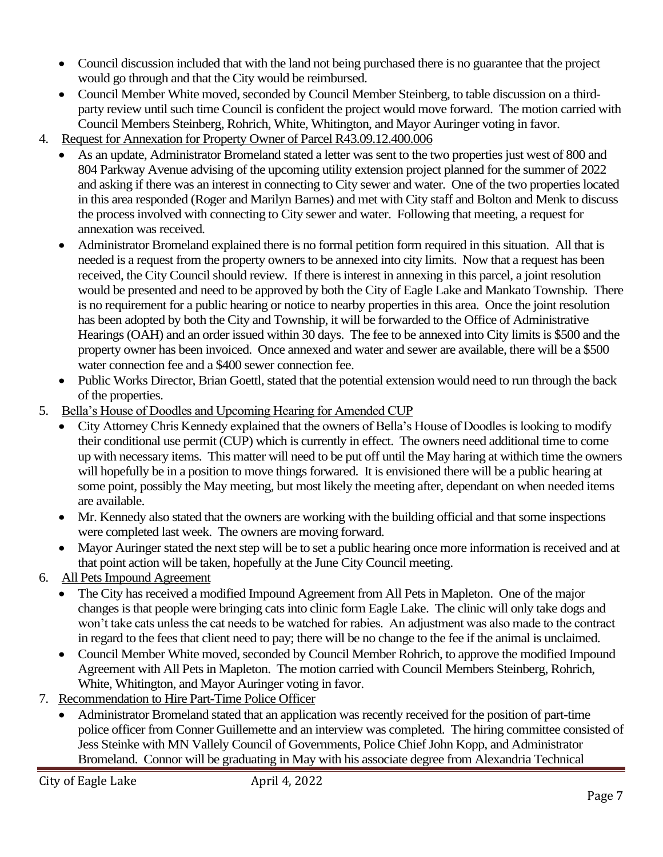- Council discussion included that with the land not being purchased there is no guarantee that the project would go through and that the City would be reimbursed.
- Council Member White moved, seconded by Council Member Steinberg, to table discussion on a thirdparty review until such time Council is confident the project would move forward. The motion carried with Council Members Steinberg, Rohrich, White, Whitington, and Mayor Auringer voting in favor.
- 4. Request for Annexation for Property Owner of Parcel R43.09.12.400.006
	- As an update, Administrator Bromeland stated a letter was sent to the two properties just west of 800 and 804 Parkway Avenue advising of the upcoming utility extension project planned for the summer of 2022 and asking if there was an interest in connecting to City sewer and water. One of the two properties located in this area responded (Roger and Marilyn Barnes) and met with City staff and Bolton and Menk to discuss the process involved with connecting to City sewer and water. Following that meeting, a request for annexation was received.
	- Administrator Bromeland explained there is no formal petition form required in this situation. All that is needed is a request from the property owners to be annexed into city limits. Now that a request has been received, the City Council should review. If there is interest in annexing in this parcel, a joint resolution would be presented and need to be approved by both the City of Eagle Lake and Mankato Township. There is no requirement for a public hearing or notice to nearby properties in this area. Once the joint resolution has been adopted by both the City and Township, it will be forwarded to the Office of Administrative Hearings (OAH) and an order issued within 30 days. The fee to be annexed into City limits is \$500 and the property owner has been invoiced. Once annexed and water and sewer are available, there will be a \$500 water connection fee and a \$400 sewer connection fee.
	- Public Works Director, Brian Goettl, stated that the potential extension would need to run through the back of the properties.
- 5. Bella's House of Doodles and Upcoming Hearing for Amended CUP
	- City Attorney Chris Kennedy explained that the owners of Bella's House of Doodles is looking to modify their conditional use permit (CUP) which is currently in effect. The owners need additional time to come up with necessary items. This matter will need to be put off until the May haring at withich time the owners will hopefully be in a position to move things forwared. It is envisioned there will be a public hearing at some point, possibly the May meeting, but most likely the meeting after, dependant on when needed items are available.
	- Mr. Kennedy also stated that the owners are working with the building official and that some inspections were completed last week. The owners are moving forward.
	- Mayor Auringer stated the next step will be to set a public hearing once more information is received and at that point action will be taken, hopefully at the June City Council meeting.
- 6. All Pets Impound Agreement
	- The City has received a modified Impound Agreement from All Pets in Mapleton. One of the major changes is that people were bringing cats into clinic form Eagle Lake. The clinic will only take dogs and won't take cats unless the cat needs to be watched for rabies. An adjustment was also made to the contract in regard to the fees that client need to pay; there will be no change to the fee if the animal is unclaimed.
	- Council Member White moved, seconded by Council Member Rohrich, to approve the modified Impound Agreement with All Pets in Mapleton. The motion carried with Council Members Steinberg, Rohrich, White, Whitington, and Mayor Auringer voting in favor.
- 7. Recommendation to Hire Part-Time Police Officer
	- Administrator Bromeland stated that an application was recently received for the position of part-time police officer from Conner Guillemette and an interview was completed. The hiring committee consisted of Jess Steinke with MN Vallely Council of Governments, Police Chief John Kopp, and Administrator Bromeland. Connor will be graduating in May with his associate degree from Alexandria Technical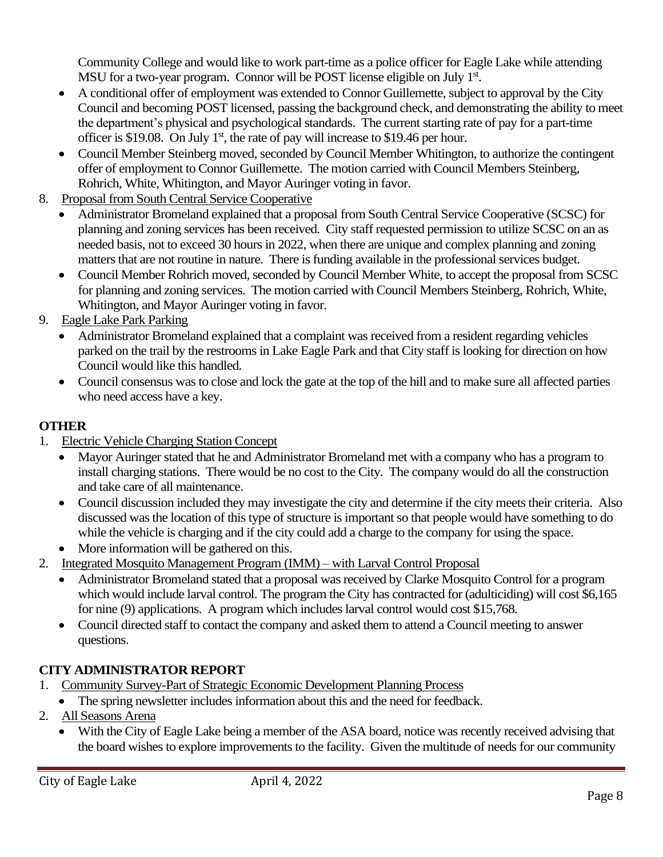Community College and would like to work part-time as a police officer for Eagle Lake while attending MSU for a two-year program. Connor will be POST license eligible on July 1st.

- A conditional offer of employment was extended to Connor Guillemette, subject to approval by the City Council and becoming POST licensed, passing the background check, and demonstrating the ability to meet the department's physical and psychological standards. The current starting rate of pay for a part-time officer is \$19.08. On July  $1<sup>st</sup>$ , the rate of pay will increase to \$19.46 per hour.
- Council Member Steinberg moved, seconded by Council Member Whitington, to authorize the contingent offer of employment to Connor Guillemette. The motion carried with Council Members Steinberg, Rohrich, White, Whitington, and Mayor Auringer voting in favor.
- 8. Proposal from South Central Service Cooperative
	- Administrator Bromeland explained that a proposal from South Central Service Cooperative (SCSC) for planning and zoning services has been received. City staff requested permission to utilize SCSC on an as needed basis, not to exceed 30 hours in 2022, when there are unique and complex planning and zoning matters that are not routine in nature. There is funding available in the professional services budget.
	- Council Member Rohrich moved, seconded by Council Member White, to accept the proposal from SCSC for planning and zoning services. The motion carried with Council Members Steinberg, Rohrich, White, Whitington, and Mayor Auringer voting in favor.
- 9. Eagle Lake Park Parking
	- Administrator Bromeland explained that a complaint was received from a resident regarding vehicles parked on the trail by the restrooms in Lake Eagle Park and that City staff is looking for direction on how Council would like this handled.
	- Council consensus was to close and lock the gate at the top of the hill and to make sure all affected parties who need access have a key.

## **OTHER**

- 1. Electric Vehicle Charging Station Concept
	- Mayor Auringer stated that he and Administrator Bromeland met with a company who has a program to install charging stations. There would be no cost to the City. The company would do all the construction and take care of all maintenance.
	- Council discussion included they may investigate the city and determine if the city meets their criteria. Also discussed was the location of this type of structure is important so that people would have something to do while the vehicle is charging and if the city could add a charge to the company for using the space.
	- More information will be gathered on this.
- 2. Integrated Mosquito Management Program (IMM) with Larval Control Proposal
	- Administrator Bromeland stated that a proposal was received by Clarke Mosquito Control for a program which would include larval control. The program the City has contracted for (adulticiding) will cost \$6,165 for nine (9) applications. A program which includes larval control would cost \$15,768.
	- Council directed staff to contact the company and asked them to attend a Council meeting to answer questions.

## **CITY ADMINISTRATOR REPORT**

- 1. Community Survey-Part of Strategic Economic Development Planning Process
	- The spring newsletter includes information about this and the need for feedback.
- 2. All Seasons Arena
	- With the City of Eagle Lake being a member of the ASA board, notice was recently received advising that the board wishes to explore improvements to the facility. Given the multitude of needs for our community